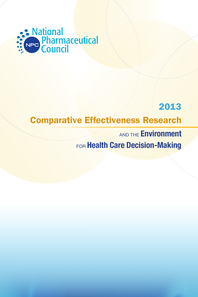

# 2013

# Comparative Effectiveness Research

**AND THE Environment** FOR Health Care Decision-Making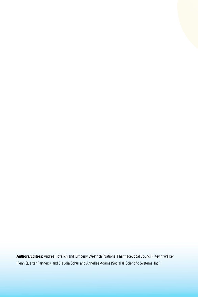**Authors/Editors:** Andrea Hofelich and Kimberly Westrich (National Pharmaceutical Council), Kevin Walker (Penn Quarter Partners), and Claudia Schur and Annelise Adams (Social & Scientific Systems, Inc.)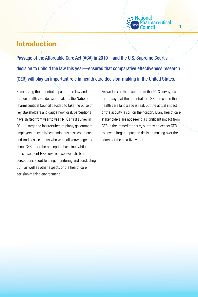## Introduction

Passage of the Affordable Care Act (ACA) in 2010—and the U.S. Supreme Court's decision to uphold the law this year—ensured that comparative effectiveness research (CER) will play an important role in health care decision-making in the United States.

Recognizing the potential impact of the law and CER on health care decision-makers, the National Pharmaceutical Council decided to take the pulse of key stakeholders and gauge how, or if, perceptions have shifted from year to year. NPC's first survey in 2011—targeting insurers/health plans, government, employers, research/academia, business coalitions, and trade associations who were all knowledgeable about CER—set the perception baseline, while the subsequent two surveys displayed shifts in perceptions about funding, monitoring and conducting CER, as well as other aspects of the health care decision-making environment.

As we look at the results from the 2013 survey, it's fair to say that the potential for CER to reshape the health care landscape is real, but the actual impact of the activity is still on the horizon. Many health care stakeholders are not seeing a significant impact from CER in the immediate term, but they do expect CER to have a larger impact on decision-making over the course of the next five years.

lational

rmaceutical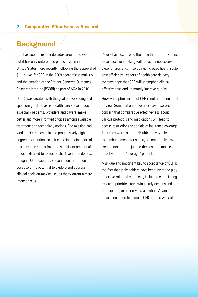### **Background**

CER has been in use for decades around the world, but it has only entered the public lexicon in the United States more recently, following the approval of \$1.1 billion for CER in the 2009 economic stimulus bill and the creation of the Patient-Centered Outcomes Research Institute (PCORI) as part of ACA in 2010.

PCORI was created with the goal of overseeing and sponsoring CER to assist health care stakeholders, especially patients, providers and payers, make better and more informed choices among available treatment and technology options. The mission and work of PCORI has gained a progressively higher degree of attention since it came into being. Part of this attention stems from the significant amount of funds dedicated to its research. Beyond the dollars, though, PCORI captures stakeholders' attention because of its potential to explore and address clinical decision-making issues that warrant a more intense focus.

Payers have expressed the hope that better evidencebased decision-making will reduce unnecessary expenditures and, in so doing, increase health system cost efficiency. Leaders of health care delivery systems hope that CER will strengthen clinical effectiveness and ultimately improve quality.

However, optimism about CER is not a uniform point of view. Some patient advocates have expressed concern that comparative effectiveness about various protocols and medications will lead to access restrictions or denials of insurance coverage. There are worries that CER ultimately will lead to reimbursements for single, or comparably few, treatments that are judged the best and most costeffective for the "average" patient.

A unique and important key to acceptance of CER is the fact that stakeholders have been invited to play an active role in the process, including establishing research priorities, reviewing study designs and participating in peer review activities. Again, efforts have been made to enmesh CER and the work of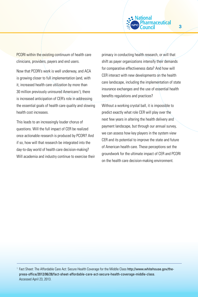

PCORI within the existing continuum of health care clinicians, providers, payers and end users.

Now that PCORI's work is well underway, and ACA is growing closer to full implementation (and, with it, increased health care utilization by more than 30 million previously uninsured Americans<sup>1</sup>), there is increased anticipation of CER's role in addressing the essential goals of health care quality and slowing health cost increases.

This leads to an increasingly louder chorus of questions. Will the full impact of CER be realized once actionable research is produced by PCORI? And if so, how will that research be integrated into the day-to-day world of health care decision-making? Will academia and industry continue to exercise their primacy in conducting health research, or will that shift as payer organizations intensify their demands for comparative effectiveness data? And how will CER interact with new developments on the health care landscape, including the implementation of state insurance exchanges and the use of essential health benefits regulations and practices?

Without a working crystal ball, it is impossible to predict exactly what role CER will play over the next few years in altering the health delivery and payment landscape, but through our annual survey, we can assess how key players in the system view CER and its potential to improve the state and future of American health care. These perceptions set the groundwork for the ultimate impact of CER and PCORI on the health care decision-making environment.

<sup>1</sup> Fact Sheet: The Affordable Care Act: Secure Health Coverage for the Middle Class http://www.whitehouse.gov/thepress-office/2012/06/28/fact-sheet-affordable-care-act-secure-health-coverage-middle-class. Accessed April 23, 2013.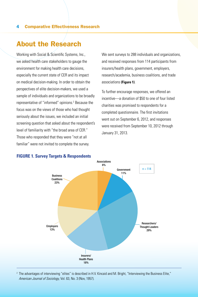### About the Research

Working with Social & Scientific Systems, Inc., we asked health care stakeholders to gauge the environment for making health care decisions, especially the current state of CER and its impact on medical decision-making. In order to obtain the perspectives of elite decision-makers, we used a sample of individuals and organizations to be broadly representative of "informed" opinions.<sup>2</sup> Because the focus was on the views of those who had thought seriously about the issues, we included an initial screening question that asked about the respondent's level of familiarity with "the broad area of CER." Those who responded that they were "not at all familiar" were not invited to complete the survey.

We sent surveys to 288 individuals and organizations, and received responses from 114 participants from insurers/health plans, government, employers, research/academia, business coalitions, and trade associations **(Figure 1)**.

To further encourage responses, we offered an incentive—a donation of \$50 to one of four listed charities was promised to respondents for a completed questionnaire. The first invitations went out on September 6, 2012, and responses were received from September 10, 2012 through January 31, 2013.



#### **FIGURE 1. Survey Targets & Respondents**

<sup>2</sup> The advantages of interviewing "elites" is described in H.V. Kincaid and M. Bright, "Interviewing the Business Elite," *American Journal of Sociology*, Vol. 63, No. 3 (Nov, 1957).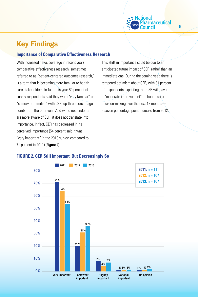# Key Findings

#### **Importance of Comparative Effectiveness Research**

With increased news coverage in recent years, comparative effectiveness research, sometimes referred to as "patient-centered outcomes research," is a term that is becoming more familiar to health care stakeholders. In fact, this year 80 percent of survey respondents said they were "very familiar" or "somewhat familiar" with CER, up three percentage points from the prior year. And while respondents are more aware of CER, it does not translate into importance. In fact, CER has decreased in its perceived importance (54 percent said it was "very important" in the 2013 survey, compared to 71 percent in 2011) **(Figure 2)**.

This shift in importance could be due to an anticipated future impact of CER, rather than an immediate one. During the coming year, there is tempered optimism about CER, with 31 percent of respondents expecting that CER will have a "moderate improvement" on health care decision-making over the next 12 months a seven percentage point increase from 2012.

Vational

maceutical

#### **FIGURE 2. CER Still Important, But Decreasingly So**

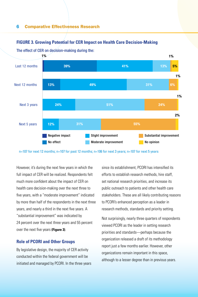#### Negative impact No effect Slight improvement Moderate improvement Substantial improvement No opinion 39% 13% 24% 12% 31% 55% 51% 24% 49% 31% 6% 1% Last 12 months Next 12 months Next 3 years Next 5 years 1% 1% 1% 2% 41% 13% <mark>5%</mark>

#### **FIGURE 3. Growing Potential for CER Impact on Health Care Decision-Making**

The effect of CER on decision-making during the:

n=107 for next 12 months; n=107 for past 12 months; n=106 for next 3 years; n=107 for next 5 years

However, it's during the next few years in which the full impact of CER will be realized. Respondents felt much more confident about the impact of CER on health care decision-making over the next three to five years, with a "moderate improvement" indicated by more than half of the respondents in the next three years, and nearly a third in the next five years. A "substantial improvement" was indicated by 24 percent over the next three years and 55 percent over the next five years **(Figure 3)**.

#### **Role of PCORI and Other Groups**

By legislative design, the majority of CER activity conducted within the federal government will be initiated and managed by PCORI. In the three years since its establishment, PCORI has intensified its efforts to establish research methods, hire staff, set national research priorities, and increase its public outreach to patients and other health care stakeholders. These are all likely contributing reasons to PCORI's enhanced perception as a leader in research methods, standards and priority setting.

Not surprisingly, nearly three quarters of respondents viewed PCORI as the leader in setting research priorities and standards—perhaps because the organization released a draft of its methodology report just a few months earlier. However, other organizations remain important in this space, although to a lesser degree than in previous years.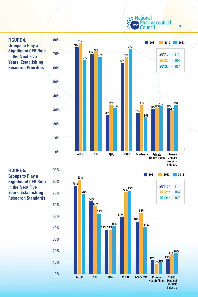**S** National Pharmaceutical ncil

7



**Products** Industry

**FIGURE 5. Groups to Play a Significant CER Role in the Next Five Years: Establishing Research Standards**

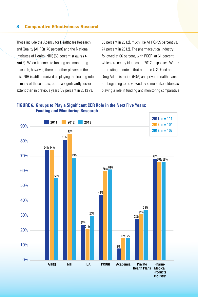Those include the Agency for Healthcare Research and Quality (AHRQ) (70 percent) and the National Institutes of Health (NIH) (53 percent) **(Figures 4 and 5)**. When it comes to funding and monitoring research, however, there are other players in the mix. NIH is still perceived as playing the leading role in many of these areas, but to a significantly lesser extent than in previous years (69 percent in 2013 vs. 85 percent in 2012), much like AHRQ (55 percent vs. 74 percent in 2012). The pharmaceutical industry followed at 66 percent, with PCORI at 61 percent, which are nearly identical to 2012 responses. What's interesting to note is that both the U.S. Food and Drug Administration (FDA) and private health plans are beginning to be viewed by some stakeholders as playing a role in funding and monitoring comparative

#### **FIGURE 6. Groups to Play a Significant CER Role in the Next Five Years: Funding and Monitoring Research**

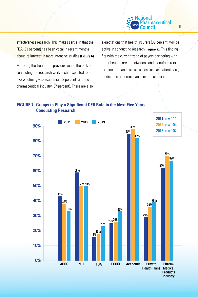

effectiveness research. This makes sense in that the FDA (23 percent) has been vocal in recent months about its interest in more intensive studies **(Figure 6)**.

Mirroring the trend from previous years, the bulk of conducting the research work is still expected to fall overwhelmingly to academia (82 percent) and the pharmaceutical industry (67 percent). There are also expectations that health insurers (39 percent) will be active in conducting research **(Figure 7)**. This finding fits with the current trend of payers partnering with other health care organizations and manufacturers to mine data and assess issues such as patient care, medication adherence and cost efficiencies.

#### **FIGURE 7. Groups to Play a Significant CER Role in the Next Five Years: Conducting Research**

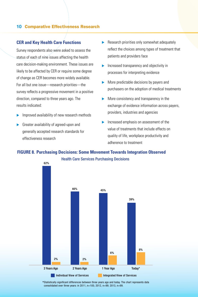#### **CER and Key Health Care Functions**

Survey respondents also were asked to assess the status of each of nine issues affecting the health care decision-making environment. These issues are likely to be affected by CER or require some degree of change as CER becomes more widely available. For all but one issue—research priorities—the survey reflects a progressive movement in a positive direction, compared to three years ago. The results indicated:

- Improved availability of new research methods
- Greater availability of agreed-upon and generally accepted research standards for effectiveness research
- $\blacktriangleright$  Research priorities only somewhat adequately reflect the choices among types of treatment that patients and providers face
- Increased transparency and objectivity in processes for interpreting evidence
- $\triangleright$  More predictable decisions by payers and purchasers on the adoption of medical treatments
- $\triangleright$  More consistency and transparency in the exchange of evidence information across payers, providers, industries and agencies
- Increased emphasis on assessment of the value of treatments that include effects on quality of life, workplace productivity and adherence to treatment

#### **FIGURE 8. Purchasing Decisions: Some Movement Towards Integration Observed**



Statistically significant differences between three years ago and today. The chart represents data \* consolidated over three years: in 2011, n=105; 2012, n=99; 2013, n=99.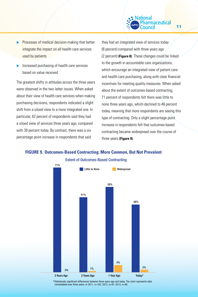### lational *maceutical*

11

- Processes of medical decision-making that better integrate the impact on all health care services used by patients
- Increased purchasing of health care services based on value received

The greatest shifts in attitudes across the three years were observed in the two latter issues. When asked about their view of health care services when making purchasing decisions, respondents indicated a slight shift from a siloed view to a more integrated one. In particular, 62 percent of respondents said they had a siloed view of services three years ago, compared with 39 percent today. By contrast, there was a six percentage point increase in respondents that said

they had an integrated view of services today (8 percent) compared with three years ago (2 percent) **(Figure 8)**. These changes could be linked to the growth in accountable care organizations, which encourage an integrated view of patient care and health care purchasing, along with clear financial incentives for meeting quality measures. When asked about the extent of outcomes-based contracting, 71 percent of respondents felt there was little to none three years ago, which declined to 46 percent today, meaning that more respondents are seeing this type of contracting. Only a slight percentage point increase in respondents felt that outcomes-based contracting became widespread over the course of three years **(Figure 9)**.

#### **FIGURE 9. Outcomes-Based Contracting: More Common, But Not Prevalent**



 $\ast$ Statistically significant differences between three years ago and today. The chart represents data consolidated over three years: in 2011, n=102; 2012, n=97; 2013, n=98.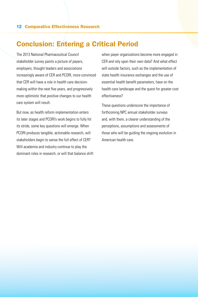## Conclusion: Entering a Critical Period

The 2013 National Pharmaceutical Council stakeholder survey paints a picture of payers, employers, thought leaders and associations increasingly aware of CER and PCORI, more convinced that CER will have a role in health care decisionmaking within the next five years, and progressively more optimistic that positive changes to our health care system will result.

But now, as health reform implementation enters its later stages and PCORI's work begins to fully hit its stride, some key questions will emerge. When PCORI produces tangible, actionable research, will stakeholders begin to sense the full effect of CER? Will academia and industry continue to play the dominant roles in research, or will that balance shift when payer organizations become more engaged in CER and rely upon their own data? And what effect will outside factors, such as the implementation of state health insurance exchanges and the use of essential health benefit parameters, have on the health care landscape and the quest for greater cost effectiveness?

These questions underscore the importance of forthcoming NPC annual stakeholder surveys and, with them, a clearer understanding of the perceptions, assumptions and assessments of those who will be guiding the ongoing evolution in American health care.